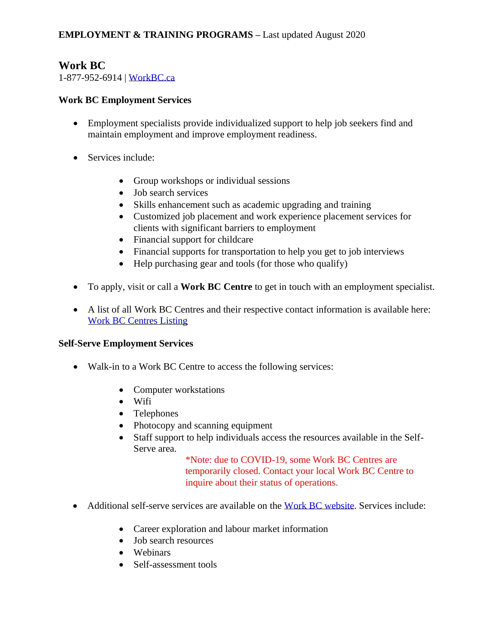## **Work BC**

1-877-952-6914 | [WorkBC.ca](https://www.workbc.ca/)

#### **Work BC Employment Services**

- Employment specialists provide individualized support to help job seekers find and maintain employment and improve employment readiness.
- Services include:
	- Group workshops or individual sessions
	- Job search services
	- Skills enhancement such as academic upgrading and training
	- Customized job placement and work experience placement services for clients with significant barriers to employment
	- Financial support for childcare
	- Financial supports for transportation to help you get to job interviews
	- Help purchasing gear and tools (for those who qualify)
- To apply, visit or call a **Work BC Centre** to get in touch with an employment specialist.
- A list of all Work BC Centres and their respective contact information is available here: [Work BC Centres Listing](https://www.workbc.ca/employment-services/workbc-centres/workbc-centres-listing.aspx)

#### **Self-Serve Employment Services**

- Walk-in to a Work BC Centre to access the following services:
	- Computer workstations
	- Wifi
	- Telephones
	- Photocopy and scanning equipment
	- Staff support to help individuals access the resources available in the Self-Serve area.

\*Note: due to COVID-19, some Work BC Centres are temporarily closed. Contact your local Work BC Centre to inquire about their status of operations.

- Additional self-serve services are available on the [Work BC website.](https://www.workbc.ca/) Services include:
	- Career exploration and labour market information
	- Job search resources
	- Webinars
	- Self-assessment tools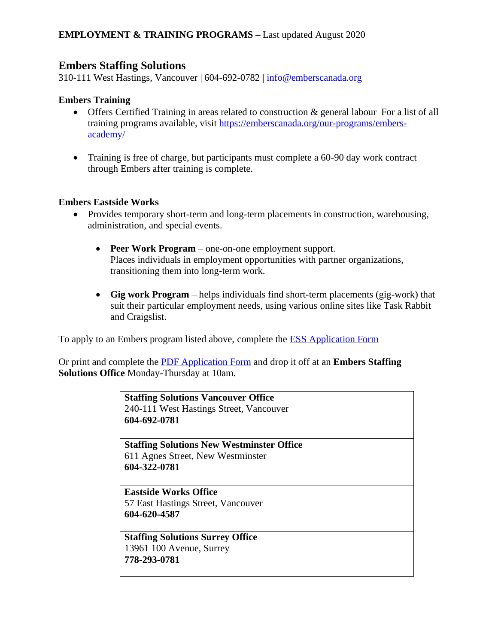## **Embers Staffing Solutions**

310-111 West Hastings, Vancouver | 604-692-0782 | info@emberscanada.org

#### **Embers Training**

- Offers Certified Training in areas related to construction & general labour For a list of all training programs available, visit [https://emberscanada.org/our-programs/embers](https://emberscanada.org/our-programs/embers-academy/)[academy/](https://emberscanada.org/our-programs/embers-academy/)
- Training is free of charge, but participants must complete a 60-90 day work contract through Embers after training is complete.

#### **Embers Eastside Works**

- Provides temporary short-term and long-term placements in construction, warehousing, administration, and special events.
	- **Peer Work Program**  one-on-one employment support. Places individuals in employment opportunities with partner organizations, transitioning them into long-term work.
	- **Gig work Program**  helps individuals find short-term placements (gig-work) that suit their particular employment needs, using various online sites like Task Rabbit and Craigslist.

To apply to an Embers program listed above, complete the [ESS Application Form](https://emberscanada.org/821-2/) 

Or print and complete the [PDF Application Form](/Users/catherinemaguire/Downloads/Embers%20Application%20Form.pdf) and drop it off at an **Embers Staffing Solutions Office** Monday-Thursday at 10am.

| <b>Staffing Solutions Vancouver Office</b><br>240-111 West Hastings Street, Vancouver<br>604-692-0781 |  |
|-------------------------------------------------------------------------------------------------------|--|
| <b>Staffing Solutions New Westminster Office</b>                                                      |  |
| 611 Agnes Street, New Westminster<br>604-322-0781                                                     |  |
| <b>Eastside Works Office</b>                                                                          |  |
| 57 East Hastings Street, Vancouver                                                                    |  |
| 604-620-4587                                                                                          |  |
| <b>Staffing Solutions Surrey Office</b>                                                               |  |
| 13961 100 Avenue, Surrey                                                                              |  |
| 778-293-0781                                                                                          |  |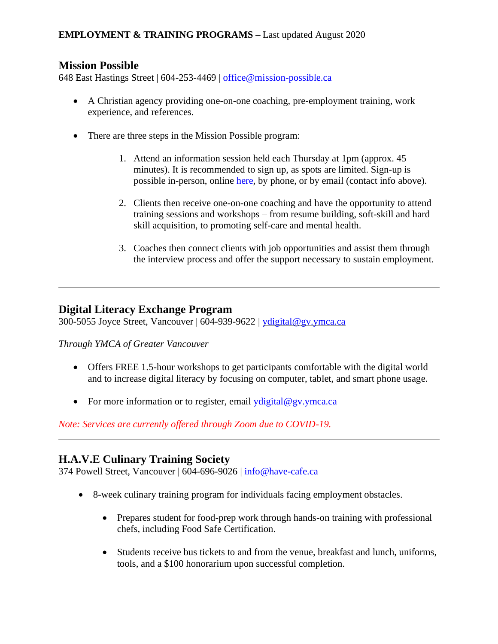## **Mission Possible**

648 East Hastings Street | 604-253-4469 | [office@mission-possible.ca](mailto:office@mission-possible.ca)

- A Christian agency providing one-on-one coaching, pre-employment training, work experience, and references.
- There are three steps in the Mission Possible program:
	- 1. Attend an information session held each Thursday at 1pm (approx. 45 minutes). It is recommended to sign up, as spots are limited. Sign-up is possible in-person, online [here,](https://docs.google.com/forms/d/e/1FAIpQLSeoGEIpMO3-1b0hnBCg9GkOTpNe_cwgUoGhzNvaUFDwy1DLCA/viewform) by phone, or by email (contact info above).
	- 2. Clients then receive one-on-one coaching and have the opportunity to attend training sessions and workshops – from resume building, soft-skill and hard skill acquisition, to promoting self-care and mental health.
	- 3. Coaches then connect clients with job opportunities and assist them through the interview process and offer the support necessary to sustain employment.

## **Digital Literacy Exchange Program**

300-5055 Joyce Street, Vancouver | 604-939-9622 | [ydigital@gv.ymca.ca](mailto:ydigital@gv.ymca.ca)

*Through YMCA of Greater Vancouver*

- Offers FREE 1.5-hour workshops to get participants comfortable with the digital world and to increase digital literacy by focusing on computer, tablet, and smart phone usage.
- For more information or to register, email  $y$  digital @gv.ymca.ca

*Note: Services are currently offered through Zoom due to COVID-19.* 

# **H.A.V.E Culinary Training Society**

374 Powell Street, Vancouver | 604-696-9026 | info@have-cafe.ca

- 8-week culinary training program for individuals facing employment obstacles.
	- Prepares student for food-prep work through hands-on training with professional chefs, including Food Safe Certification.
	- Students receive bus tickets to and from the venue, breakfast and lunch, uniforms, tools, and a \$100 honorarium upon successful completion.